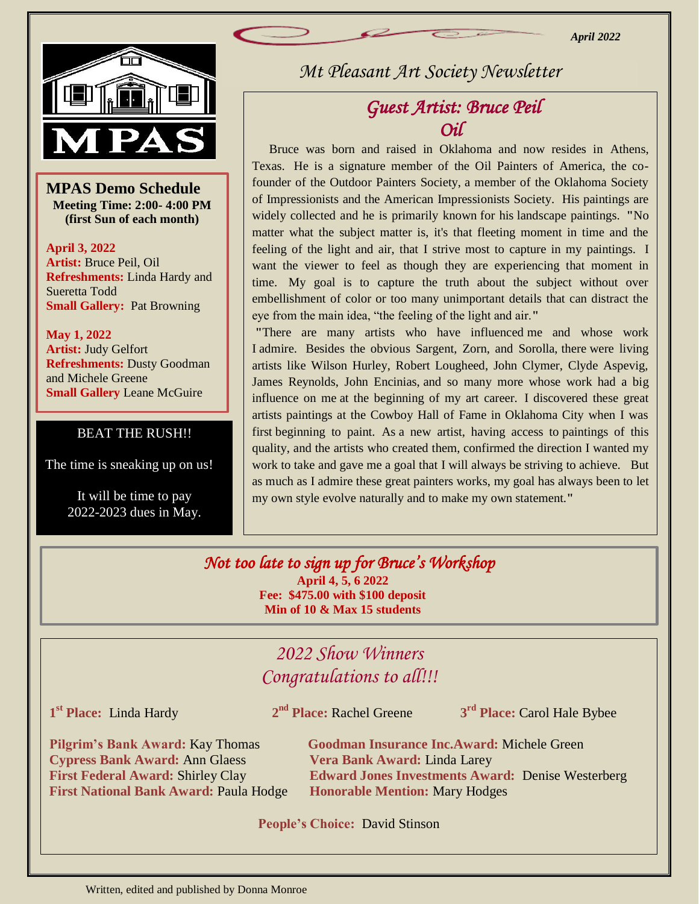*April 2022*



—<br>Տ<br>inջ **MPAS Demo Schedule Meeting Time: 2:00- 4:00 PM (first Sun of each month)**

**April 3, 2022 Artist:** Bruce Peil, Oil **Refreshments:** Linda Hardy and Sueretta Todd **Small Gallery:** Pat Browning

**May 1, 2022 Artist:** Judy Gelfort **Refreshments:** Dusty Goodman and Michele Greene **Small Gallery Leane McGuire** 

### BEAT THE RUSH!!

The time is sneaking up on us!

 It will be time to pay 2022-2023 dues in May. *Mt Pleasant Art Society Newsletter*

# *Guest Artist: Bruce Peil Oil*

 Bruce was born and raised in Oklahoma and now resides in Athens, Texas. He is a signature member of the Oil Painters of America, the cofounder of the Outdoor Painters Society, a member of the Oklahoma Society of Impressionists and the American Impressionists Society. His paintings are widely collected and he is primarily known for his landscape paintings. **"**No matter what the subject matter is, it's that fleeting moment in time and the feeling of the light and air, that I strive most to capture in my paintings. I want the viewer to feel as though they are experiencing that moment in time. My goal is to capture the truth about the subject without over embellishment of color or too many unimportant details that can distract the eye from the main idea, "the feeling of the light and air.**"**

**"**There are many artists who have influenced me and whose work I admire. Besides the obvious Sargent, Zorn, and Sorolla, there were living artists like Wilson Hurley, Robert Lougheed, John Clymer, Clyde Aspevig, James Reynolds, John Encinias, and so many more whose work had a big influence on me at the beginning of my art career. I discovered these great artists paintings at the Cowboy Hall of Fame in Oklahoma City when I was first beginning to paint. As a new artist, having access to paintings of this quality, and the artists who created them, confirmed the direction I wanted my work to take and gave me a goal that I will always be striving to achieve. But as much as I admire these great painters works, my goal has always been to let my own style evolve naturally and to make my own statement.**"**

#### *Not too late to sign up for Bruce's Workshop* **April 4, 5, 6 2022 Fee: \$475.00 with \$100 deposit Min of 10 & Max 15 students**

## *2022 Show Winners Congratulations to all!!!*

**1 st Place:** Linda Hardy **2**

2<sup>nd</sup> Place: Rachel Greene

**rd Place:** Carol Hale Bybee

**Cypress Bank Award:** Ann Glaess **Vera Bank Award:** Linda Larey **First National Bank Award:** Paula Hodge **Honorable Mention:** Mary Hodges

**Pilgrim's Bank Award:** Kay Thomas **Goodman Insurance Inc.Award:** Michele Green **First Federal Award:** Shirley Clay **Edward Jones Investments Award:** Denise Westerberg

**People's Choice:** David Stinson